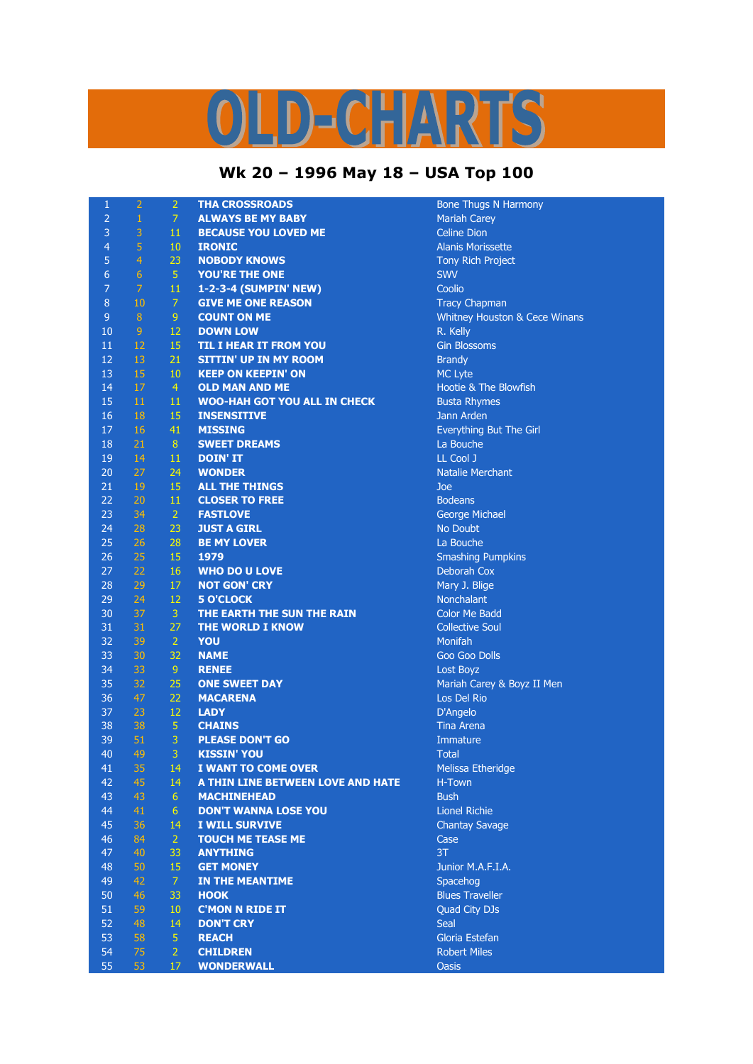## OLD-CHARTS

## **Wk 20 – 1996 May 18 – USA Top 100**

| $\mathbf{1}$   | $\overline{2}$   | $\overline{2}$ | <b>THA CROSSROADS</b>               | <b>Bone Thugs N Harmony</b>              |
|----------------|------------------|----------------|-------------------------------------|------------------------------------------|
| $\overline{2}$ | $\mathbf{1}$     | $\overline{7}$ | <b>ALWAYS BE MY BABY</b>            | <b>Mariah Carey</b>                      |
| 3              | 3                | 11             | <b>BECAUSE YOU LOVED ME</b>         | <b>Celine Dion</b>                       |
| $\overline{4}$ | 5                | 10             | <b>IRONIC</b>                       | <b>Alanis Morissette</b>                 |
| 5              | $\overline{4}$   | 23             | <b>NOBODY KNOWS</b>                 | Tony Rich Project                        |
| $\overline{6}$ | $\overline{6}$   | $\overline{5}$ | YOU'RE THE ONE                      | <b>SWV</b>                               |
| $\overline{7}$ | $\overline{7}$   | $11\,$         | 1-2-3-4 (SUMPIN' NEW)               | Coolio                                   |
| $\bf 8$        | 10               | $\overline{7}$ | <b>GIVE ME ONE REASON</b>           | <b>Tracy Chapman</b>                     |
| $\overline{9}$ | $\boldsymbol{8}$ | 9              | <b>COUNT ON ME</b>                  | <b>Whitney Houston &amp; Cece Winans</b> |
| 10             | 9                | 12             | <b>DOWN LOW</b>                     | R. Kelly                                 |
| 11             | 12               | 15             | <b>TIL I HEAR IT FROM YOU</b>       | <b>Gin Blossoms</b>                      |
| 12             | 13               | 21             | <b>SITTIN' UP IN MY ROOM</b>        | <b>Brandy</b>                            |
| 13             | 15               | 10             | <b>KEEP ON KEEPIN' ON</b>           | <b>MC Lyte</b>                           |
| 14             | 17               | $\overline{4}$ | <b>OLD MAN AND ME</b>               | Hootie & The Blowfish                    |
| 15             | 11               | 11             | <b>WOO-HAH GOT YOU ALL IN CHECK</b> | <b>Busta Rhymes</b>                      |
| 16             | 18               | 15             | <b>INSENSITIVE</b>                  | Jann Arden                               |
| 17             | 16               | 41             | <b>MISSING</b>                      | Everything But The Girl                  |
| 18             | 21               | 8              | <b>SWEET DREAMS</b>                 | La Bouche                                |
|                | 14               | 11             |                                     | LL Cool J                                |
| 19             |                  |                | <b>DOIN' IT</b>                     |                                          |
| 20             | 27               | 24             | <b>WONDER</b>                       | <b>Natalie Merchant</b>                  |
| 21             | 19               | 15             | <b>ALL THE THINGS</b>               | Joe                                      |
| 22             | 20               | 11             | <b>CLOSER TO FREE</b>               | <b>Bodeans</b>                           |
| 23             | 34               | 2 <sup>1</sup> | <b>FASTLOVE</b>                     | <b>George Michael</b>                    |
| 24             | 28               | 23             | <b>JUST A GIRL</b>                  | No Doubt                                 |
| 25             | 26               | 28             | <b>BE MY LOVER</b>                  | La Bouche                                |
| 26             | 25               | 15             | 1979                                | <b>Smashing Pumpkins</b>                 |
| 27             | 22               | 16             | <b>WHO DO U LOVE</b>                | Deborah Cox                              |
| 28             | 29               | 17             | <b>NOT GON' CRY</b>                 | Mary J. Blige                            |
| 29             | 24               | 12             | <b>5 O'CLOCK</b>                    | Nonchalant                               |
| 30             | 37               | 3              | THE EARTH THE SUN THE RAIN          | <b>Color Me Badd</b>                     |
| 31             | 31               | 27             | THE WORLD I KNOW                    | <b>Collective Soul</b>                   |
| 32             | 39               | $\overline{2}$ | YOU                                 | <b>Monifah</b>                           |
| 33             | 30               | 32             | <b>NAME</b>                         | <b>Goo Goo Dolls</b>                     |
| 34             | 33               | 9 <sup>°</sup> | <b>RENEE</b>                        | Lost Boyz                                |
| 35             | 32               | 25             | <b>ONE SWEET DAY</b>                | Mariah Carey & Boyz II Men               |
| 36             | 47               | 22             | <b>MACARENA</b>                     | Los Del Rio                              |
| 37             | 23               | 12             | <b>LADY</b>                         | D'Angelo                                 |
| 38             | 38               | $\overline{5}$ | <b>CHAINS</b>                       | <b>Tina Arena</b>                        |
| 39             | 51               | $\overline{3}$ | <b>PLEASE DON'T GO</b>              | Immature                                 |
| 40             | 49               | 3              | <b>KISSIN' YOU</b>                  | <b>Total</b>                             |
| 41             | 35               | 14             | I WANT TO COME OVER                 | Melissa Etheridge                        |
| 42             | 45               | 14             | A THIN LINE BETWEEN LOVE AND HATE   | H-Town                                   |
| 43             | 43               | 6              | <b>MACHINEHEAD</b>                  | <b>Bush</b>                              |
| 44             | 41               | 6              | <b>DON'T WANNA LOSE YOU</b>         | <b>Lionel Richie</b>                     |
| 45             | 36               | 14             | I WILL SURVIVE                      | <b>Chantay Savage</b>                    |
| 46             | 84               | 2 <sup>1</sup> | <b>TOUCH ME TEASE ME</b>            | Case                                     |
| 47             | 40               | 33             | <b>ANYTHING</b>                     | 3T                                       |
| 48             | 50               | 15             | <b>GET MONEY</b>                    | Junior M.A.F.I.A.                        |
| 49             | 42               | 7 <sup>1</sup> | <b>IN THE MEANTIME</b>              | Spacehog                                 |
| 50             | 46               | 33             | <b>HOOK</b>                         | <b>Blues Traveller</b>                   |
| 51             | 59               | 10             | <b>C'MON N RIDE IT</b>              | Quad City DJs                            |
| 52             | 48               | 14             | <b>DON'T CRY</b>                    | Seal                                     |
| 53             | 58               | 5 <sup>1</sup> | <b>REACH</b>                        | Gloria Estefan                           |
| 54             | 75               | $\overline{2}$ | <b>CHILDREN</b>                     | <b>Robert Miles</b>                      |
| 55             | 53               | 17             | <b>WONDERWALL</b>                   | <b>Oasis</b>                             |